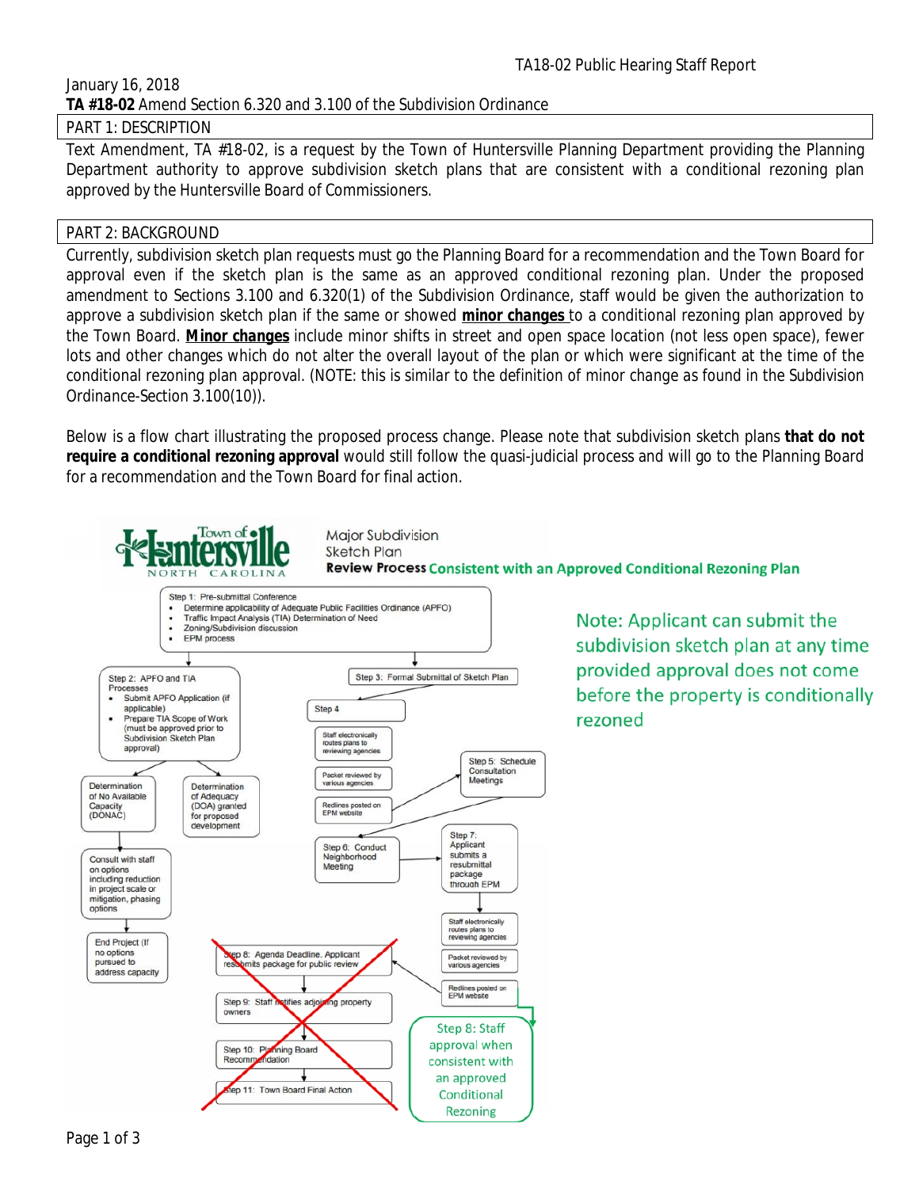### January 16, 2018 **TA #18-02** Amend Section 6.320 and 3.100 of the Subdivision Ordinance

### PART 1: DESCRIPTION

Text Amendment, TA #18-02, is a request by the Town of Huntersville Planning Department providing the Planning Department authority to approve subdivision sketch plans that are consistent with a conditional rezoning plan approved by the Huntersville Board of Commissioners.

### PART 2: BACKGROUND

Currently, subdivision sketch plan requests must go the Planning Board for a recommendation and the Town Board for approval even if the sketch plan is the same as an approved conditional rezoning plan. Under the proposed amendment to Sections 3.100 and 6.320(1) of the Subdivision Ordinance, staff would be given the authorization to approve a subdivision sketch plan if the same or showed *minor changes*to a conditional rezoning plan approved by the Town Board. *Minor changes* include minor shifts in street and open space location (not less open space), fewer lots and other changes which do not alter the overall layout of the plan or which were significant at the time of the conditional rezoning plan approval. (NOTE: this is similar to the definition of minor change as found in the Subdivision *Ordinance-Section 3.100(10)).*

Below is a flow chart illustrating the proposed process change. Please note that subdivision sketch plans **that do not require a conditional rezoning approval** would still follow the quasi-judicial process and will go to the Planning Board for a recommendation and the Town Board for final action.

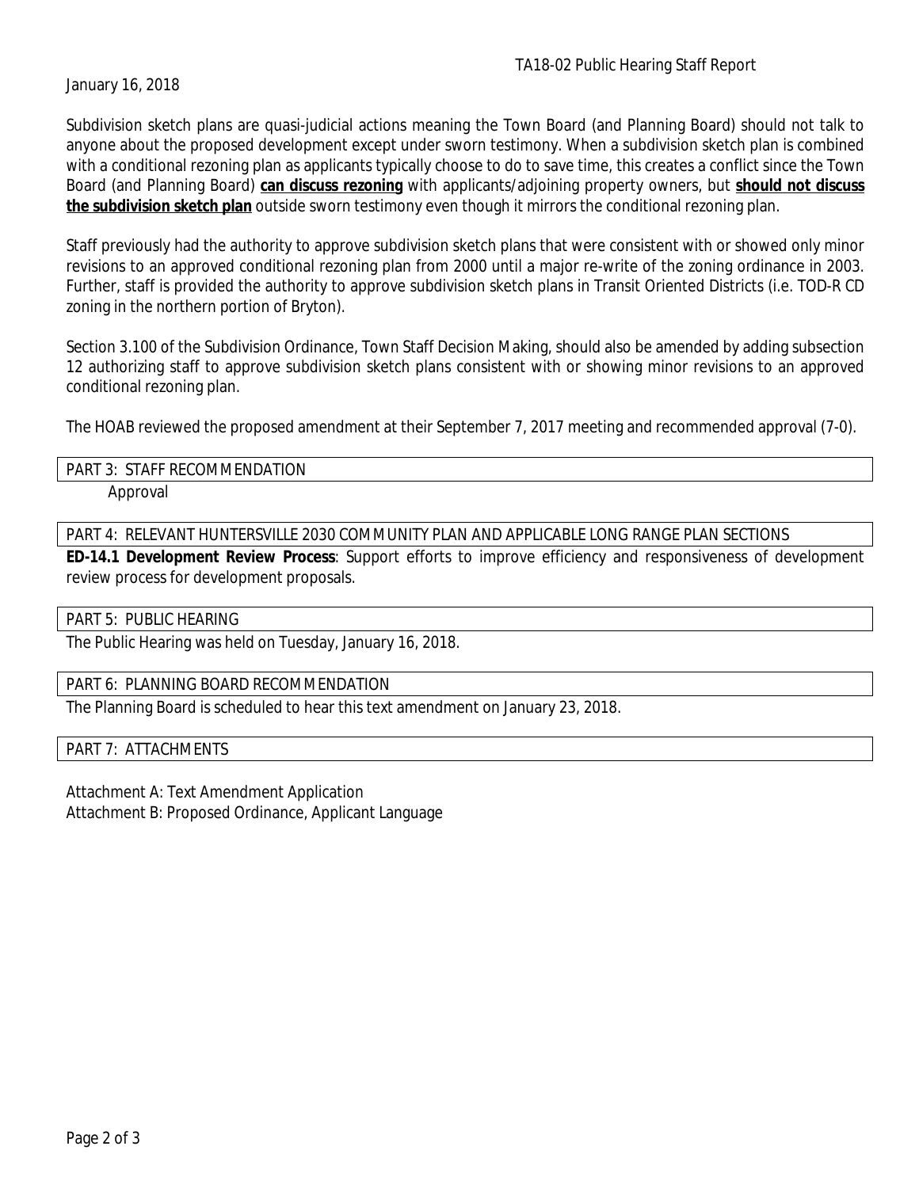January 16, 2018

Subdivision sketch plans are quasi-judicial actions meaning the Town Board (and Planning Board) should not talk to anyone about the proposed development except under sworn testimony. When a subdivision sketch plan is combined with a conditional rezoning plan as applicants typically choose to do to save time, this creates a conflict since the Town Board (and Planning Board) **can discuss rezoning** with applicants/adjoining property owners, but **should not discuss the subdivision sketch plan** outside sworn testimony even though it mirrors the conditional rezoning plan.

Staff previously had the authority to approve subdivision sketch plans that were consistent with or showed only minor revisions to an approved conditional rezoning plan from 2000 until a major re-write of the zoning ordinance in 2003. Further, staff is provided the authority to approve subdivision sketch plans in Transit Oriented Districts (i.e. TOD-R CD zoning in the northern portion of Bryton).

Section 3.100 of the Subdivision Ordinance, Town Staff Decision Making, should also be amended by adding subsection 12 authorizing staff to approve subdivision sketch plans consistent with or showing minor revisions to an approved conditional rezoning plan.

The HOAB reviewed the proposed amendment at their September 7, 2017 meeting and recommended approval (7-0).

# PART 3: STAFF RECOMMENDATION

Approval

PART 4: RELEVANT HUNTERSVILLE 2030 COMMUNITY PLAN AND APPLICABLE LONG RANGE PLAN SECTIONS

**ED-14.1 Development Review Process**: Support efforts to improve efficiency and responsiveness of development review process for development proposals.

PART 5: PUBLIC HEARING

The Public Hearing was held on Tuesday, January 16, 2018.

PART 6: PLANNING BOARD RECOMMENDATION

The Planning Board is scheduled to hear this text amendment on January 23, 2018.

PART 7: ATTACHMENTS

Attachment A: Text Amendment Application Attachment B: Proposed Ordinance, Applicant Language